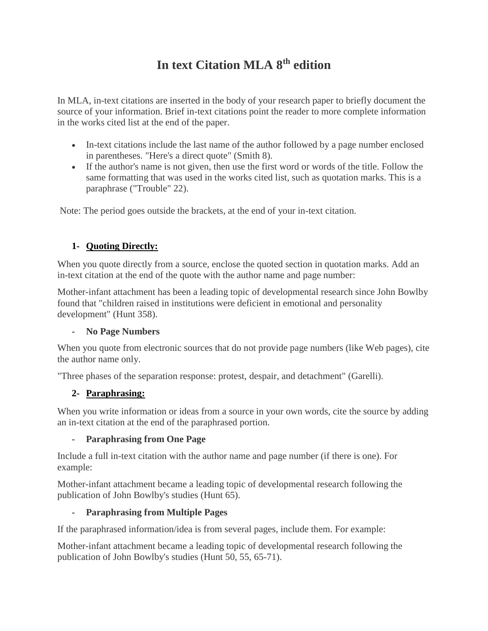# **In text Citation MLA 8th edition**

In MLA, in-text citations are inserted in the body of your research paper to briefly document the source of your information. Brief in-text citations point the reader to more complete information in the works cited list at the end of the paper.

- In-text citations include the last name of the author followed by a page number enclosed in parentheses. "Here's a direct quote" (Smith 8).
- If the author's name is not given, then use the first word or words of the title. Follow the same formatting that was used in the works cited list, such as quotation marks. This is a paraphrase ("Trouble" 22).

Note: The period goes outside the brackets, at the end of your in-text citation.

## **1- Quoting Directly:**

When you quote directly from a source, enclose the quoted section in quotation marks. Add an in-text citation at the end of the quote with the author name and page number:

Mother-infant attachment has been a leading topic of developmental research since John Bowlby found that "children raised in institutions were deficient in emotional and personality development" (Hunt 358).

#### **- No Page Numbers**

When you quote from electronic sources that do not provide page numbers (like Web pages), cite the author name only.

"Three phases of the separation response: protest, despair, and detachment" (Garelli).

## **2- Paraphrasing:**

When you write information or ideas from a source in your own words, cite the source by adding an in-text citation at the end of the paraphrased portion.

## **- Paraphrasing from One Page**

Include a full in-text citation with the author name and page number (if there is one). For example:

Mother-infant attachment became a leading topic of developmental research following the publication of John Bowlby's studies (Hunt 65).

## **- Paraphrasing from Multiple Pages**

If the paraphrased information/idea is from several pages, include them. For example:

Mother-infant attachment became a leading topic of developmental research following the publication of John Bowlby's studies (Hunt 50, 55, 65-71).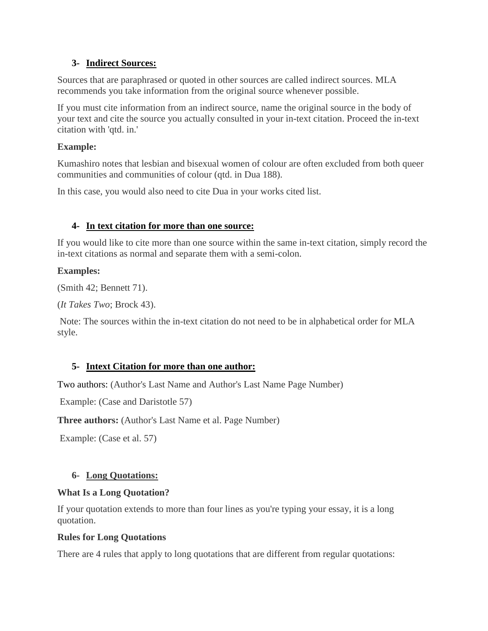#### **3- Indirect Sources:**

Sources that are paraphrased or quoted in other sources are called indirect sources. MLA recommends you take information from the original source whenever possible.

If you must cite information from an indirect source, name the original source in the body of your text and cite the source you actually consulted in your in-text citation. Proceed the in-text citation with 'qtd. in.'

#### **Example:**

Kumashiro notes that lesbian and bisexual women of colour are often excluded from both queer communities and communities of colour (qtd. in Dua 188).

In this case, you would also need to cite Dua in your works cited list.

## **4- In text citation for more than one source:**

If you would like to cite more than one source within the same in-text citation, simply record the in-text citations as normal and separate them with a semi-colon.

## **Examples:**

(Smith 42; Bennett 71).

```
(It Takes Two; Brock 43).
```
Note: The sources within the in-text citation do not need to be in alphabetical order for MLA style.

## **5- Intext Citation for more than one author:**

Two authors: (Author's Last Name and Author's Last Name Page Number)

Example: (Case and Daristotle 57)

**Three authors:** (Author's Last Name et al. Page Number)

Example: (Case et al. 57)

## **6- Long Quotations:**

#### **What Is a Long Quotation?**

If your quotation extends to more than four lines as you're typing your essay, it is a long quotation.

## **Rules for Long Quotations**

There are 4 rules that apply to long quotations that are different from regular quotations: